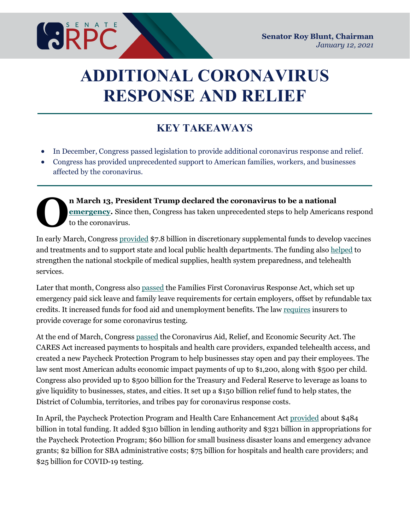

# **ADDITIONAL CORONAVIRUS RESPONSE AND RELIEF**

# **KEY TAKEAWAYS**

- In December, Congress passed legislation to provide additional coronavirus response and relief.
- Congress has provided unprecedented support to American families, workers, and businesses affected by the coronavirus.

**n March 13, President Trump declared the coronavirus to be a national [emergency.](https://www.rpc.senate.gov/policy-papers/coronavirus-emergency-declaration)** Since then, Congress has taken unprecedented steps to help Americans respond to the coronavirus. **O**

In early March, Congress [provided](https://docs.house.gov/billsthisweek/20200302/BILLS-116hr6074-SUS.pdf) \$7.8 billion in discretionary supplemental funds to develop vaccines and treatments and to support state and local public health departments. The funding also [helped](https://www.rpc.senate.gov/policy-papers/update-on-coronavirus-response) to strengthen the national stockpile of medical supplies, health system preparedness, and telehealth services.

Later that month, Congress also [passed](https://www.congress.gov/bill/116th-congress/house-bill/6201/actions?q=%7b%22search%22:%22HR+6201%22%7d&KWICView=false) the Families First Coronavirus Response Act, which set up emergency paid sick leave and family leave requirements for certain employers, offset by refundable tax credits. It increased funds for food aid and unemployment benefits. The law [requires](https://www.rpc.senate.gov/policy-papers/update-on-coronavirus-response-2) insurers to provide coverage for some coronavirus testing.

At the end of March, Congress [passed](https://www.congress.gov/116/bills/hr748/BILLS-116hr748enr.pdf) the Coronavirus Aid, Relief, and Economic Security Act. The CARES Act [increased](https://www.rpc.senate.gov/policy-papers/update-on-coronavirus-response-3) payments to hospitals and health care providers, expanded telehealth access, and created a new Paycheck Protection Program to help businesses stay open and pay their employees. The law sent most American adults economic impact payments of up to \$1,200, along with \$500 per child. Congress also provided up to \$500 billion for the Treasury and Federal Reserve to leverage as loans to give liquidity to businesses, states, and cities. It set up a \$150 billion relief fund to help states, the District of Columbia, territories, and tribes pay for coronavirus response costs.

In April, the Paycheck Protection Program and Health Care Enhancement [Act](https://www.congress.gov/bill/116th-congress/house-bill/266/text) [provided](https://www.rpc.senate.gov/policy-papers/update-on-coronavirus-response-3.5) about \$484 billion in total funding. It added \$310 billion in lending authority and \$321 billion in appropriations for the Paycheck Protection Program; \$60 billion for small business disaster loans and emergency advance grants; \$2 billion for SBA administrative costs; \$75 billion for hospitals and health care providers; and \$25 billion for COVID-19 testing.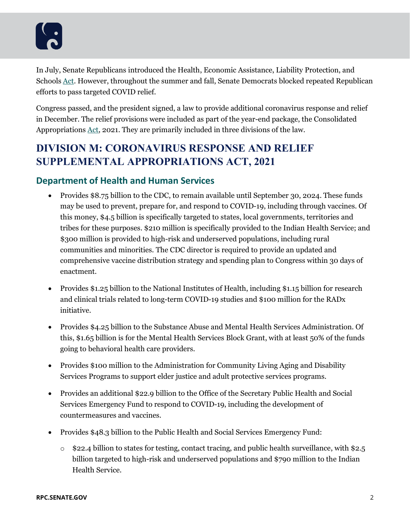In July, Senate Republicans introduced the Health, Economic Assistance, Liability Protection, and Schools [Act.](https://www.rpc.senate.gov/policy-papers/update-on-the-coronavirus-response-heals-act) However, throughout the summer and fall, Senate Democrats blocked repeated Republican efforts to pass targeted COVID relief.

Congress passed, and the president signed, a law to provide additional coronavirus response and relief in December. The relief provisions were included as part of the year-end package, the Consolidated Appropriations [Act,](https://www.congress.gov/bill/116th-congress/house-bill/133/text) 2021. They are primarily included in three divisions of the law.

# **DIVISION M: CORONAVIRUS RESPONSE AND RELIEF SUPPLEMENTAL APPROPRIATIONS ACT, 2021**

## **Department of Health and Human Services**

- Provides \$8.75 billion to the CDC, to remain available until September 30, 2024. These funds may be used to prevent, prepare for, and respond to COVID-19, including through vaccines. Of this money, \$4.5 billion is specifically targeted to states, local governments, territories and tribes for these purposes. \$210 million is specifically provided to the Indian Health Service; and \$300 million is provided to high-risk and underserved populations, including rural communities and minorities. The CDC director is required to provide an updated and comprehensive vaccine distribution strategy and spending plan to Congress within 30 days of enactment.
- Provides \$1.25 billion to the National Institutes of Health, including \$1.15 billion for research and clinical trials related to long-term COVID-19 studies and \$100 million for the RADx initiative.
- Provides \$4.25 billion to the Substance Abuse and Mental Health Services Administration. Of this, \$1.65 billion is for the Mental Health Services Block Grant, with at least 50% of the funds going to behavioral health care providers.
- Provides \$100 million to the Administration for Community Living Aging and Disability Services Programs to support elder justice and adult protective services programs.
- Provides an additional \$22.9 billion to the Office of the Secretary Public Health and Social Services Emergency Fund to respond to COVID-19, including the development of countermeasures and vaccines.
- Provides \$48.3 billion to the Public Health and Social Services Emergency Fund:
	- $\circ$  \$22.4 billion to states for testing, contact tracing, and public health surveillance, with \$2.5 billion targeted to high-risk and underserved populations and \$790 million to the Indian Health Service.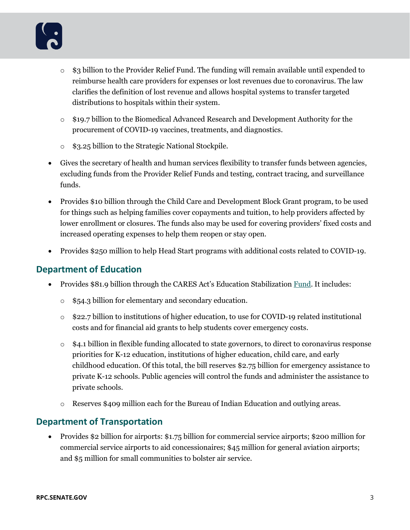- o \$3 billion to the Provider Relief Fund. The funding will remain available until expended to reimburse health care providers for expenses or lost revenues due to coronavirus. The law clarifies the definition of lost revenue and allows hospital systems to transfer targeted distributions to hospitals within their system.
- o \$19.7 billion to the Biomedical Advanced Research and Development Authority for the procurement of COVID-19 vaccines, treatments, and diagnostics.
- o \$3.25 billion to the Strategic National Stockpile.
- Gives the secretary of health and human services flexibility to transfer funds between agencies, excluding funds from the Provider Relief Funds and testing, contract tracing, and surveillance funds.
- Provides \$10 billion through the Child Care and Development Block Grant program, to be used for things such as helping families cover copayments and tuition, to help providers affected by lower enrollment or closures. The funds also may be used for covering providers' fixed costs and increased operating expenses to help them reopen or stay open.
- Provides \$250 million to help Head Start programs with additional costs related to COVID-19.

## **Department of Education**

- Provides \$81.9 billion through the CARES Act's Education Stabilization [Fund.](https://www.rpc.senate.gov/policy-papers/education-aid-in-congress-coronavirus-response) It includes:
	- o \$54.3 billion for elementary and secondary education.
	- o \$22.7 billion to institutions of higher education, to use for COVID-19 related institutional costs and for financial aid grants to help students cover emergency costs.
	- $\circ$  \$4.1 billion in flexible funding allocated to state governors, to direct to coronavirus response priorities for K-12 education, institutions of higher education, child care, and early childhood education. Of this total, the bill reserves \$2.75 billion for emergency assistance to private K-12 schools. Public agencies will control the funds and administer the assistance to private schools.
	- o Reserves \$409 million each for the Bureau of Indian Education and outlying areas.

## **Department of Transportation**

• Provides \$2 billion for airports: \$1.75 billion for commercial service airports; \$200 million for commercial service airports to aid concessionaires; \$45 million for general aviation airports; and \$5 million for small communities to bolster air service.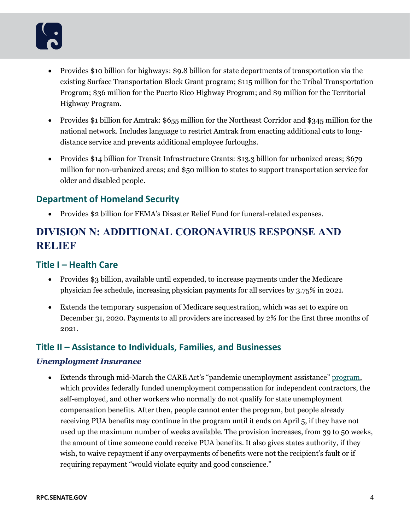- Provides \$10 billion for highways: \$9.8 billion for state departments of transportation via the existing Surface Transportation Block Grant program; \$115 million for the Tribal Transportation Program; \$36 million for the Puerto Rico Highway Program; and \$9 million for the Territorial Highway Program.
- Provides \$1 billion for Amtrak: \$655 million for the Northeast Corridor and \$345 million for the national network. Includes language to restrict Amtrak from enacting additional cuts to longdistance service and prevents additional employee furloughs.
- Provides \$14 billion for Transit Infrastructure Grants: \$13.3 billion for urbanized areas; \$679 million for non-urbanized areas; and \$50 million to states to support transportation service for older and disabled people.

## **Department of Homeland Security**

• Provides \$2 billion for FEMA's Disaster Relief Fund for funeral-related expenses*.*

# **DIVISION N: ADDITIONAL CORONAVIRUS RESPONSE AND RELIEF**

# **Title I – Health Care**

- Provides \$3 billion, available until expended, to increase payments under the Medicare physician fee schedule, increasing physician payments for all services by 3.75% in 2021.
- Extends the temporary suspension of Medicare sequestration, which was set to expire on December 31, 2020. Payments to all providers are increased by 2% for the first three months of 2021.

## **Title II – Assistance to Individuals, Families, and Businesses**

#### *Unemployment Insurance*

• Extends through mid-March the CARE Act's "pandemic unemployment assistance[" program,](https://www.rpc.senate.gov/policy-papers/helping-unemployed-americans) which provides federally funded unemployment compensation for independent contractors, the self-employed, and other workers who normally do not qualify for state unemployment compensation benefits. After then, people cannot enter the program, but people already receiving PUA benefits may continue in the program until it ends on April 5, if they have not used up the maximum number of weeks available. The provision increases, from 39 to 50 weeks, the amount of time someone could receive PUA benefits. It also gives states authority, if they wish, to waive repayment if any overpayments of benefits were not the recipient's fault or if requiring repayment "would violate equity and good conscience."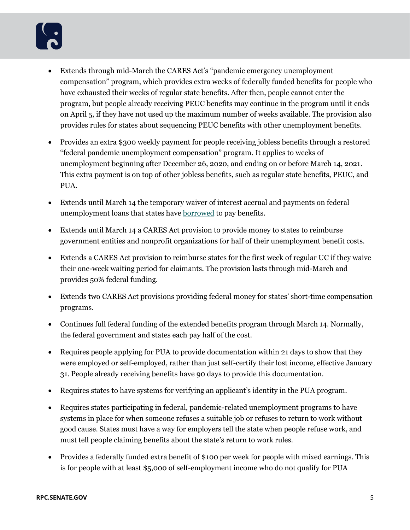- Extends through mid-March the CARES Act's "pandemic emergency unemployment compensation" program, which provides extra weeks of federally funded benefits for people who have exhausted their weeks of regular state benefits. After then, people cannot enter the program, but people already receiving PEUC benefits may continue in the program until it ends on April 5, if they have not used up the maximum number of weeks available. The provision also provides rules for states about sequencing PEUC benefits with other unemployment benefits.
- Provides an extra \$300 weekly payment for people receiving jobless benefits through a restored "federal pandemic unemployment compensation" program. It applies to weeks of unemployment beginning after December 26, 2020, and ending on or before March 14, 2021. This extra payment is on top of other jobless benefits, such as regular state benefits, PEUC, and PUA.
- Extends until March 14 the temporary waiver of interest accrual and payments on federal unemployment loans that states have **borrowed** to pay benefits.
- Extends until March 14 a CARES Act provision to provide money to states to reimburse government entities and nonprofit organizations for half of their unemployment benefit costs.
- Extends a CARES Act provision to reimburse states for the first week of regular UC if they waive their one-week waiting period for claimants. The provision lasts through mid-March and provides 50% federal funding.
- Extends two CARES Act provisions providing federal money for states' short-time compensation programs.
- Continues full federal funding of the extended benefits program through March 14. Normally, the federal government and states each pay half of the cost.
- Requires people applying for PUA to provide documentation within 21 days to show that they were employed or self-employed, rather than just self-certify their lost income, effective January 31. People already receiving benefits have 90 days to provide this documentation.
- Requires states to have systems for verifying an applicant's identity in the PUA program.
- Requires states participating in federal, pandemic-related unemployment programs to have systems in place for when someone refuses a suitable job or refuses to return to work without good cause. States must have a way for employers tell the state when people refuse work, and must tell people claiming benefits about the state's return to work rules.
- Provides a federally funded extra benefit of \$100 per week for people with mixed earnings. This is for people with at least \$5,000 of self-employment income who do not qualify for PUA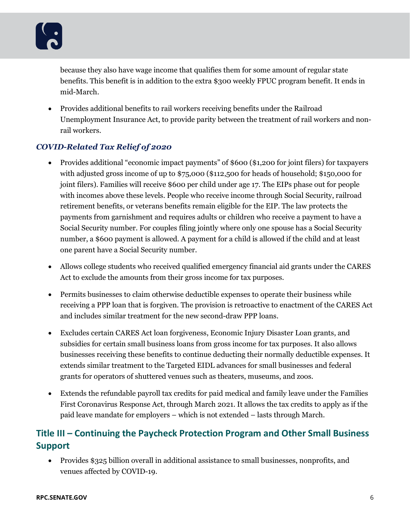because they also have wage income that qualifies them for some amount of regular state benefits. This benefit is in addition to the extra \$300 weekly FPUC program benefit. It ends in mid-March.

• Provides additional benefits to rail workers receiving benefits under the Railroad Unemployment Insurance Act, to provide parity between the treatment of rail workers and nonrail workers.

## *COVID-Related Tax Relief of 2020*

- Provides additional "economic impact payments" of \$600 (\$1,200 for joint filers) for taxpayers with adjusted gross income of up to \$75,000 (\$112,500 for heads of household; \$150,000 for joint filers). Families will receive \$600 per child under age 17. The EIPs phase out for people with incomes above these levels. People who receive income through Social Security, railroad retirement benefits, or veterans benefits remain eligible for the EIP. The law protects the payments from garnishment and requires adults or children who receive a payment to have a Social Security number. For couples filing jointly where only one spouse has a Social Security number, a \$600 payment is allowed. A payment for a child is allowed if the child and at least one parent have a Social Security number.
- Allows college students who received qualified emergency financial aid grants under the CARES Act to exclude the amounts from their gross income for tax purposes.
- Permits businesses to claim otherwise deductible expenses to operate their business while receiving a PPP loan that is forgiven. The provision is retroactive to enactment of the CARES Act and includes similar treatment for the new second-draw PPP loans.
- Excludes certain CARES Act loan forgiveness, Economic Injury Disaster Loan grants, and subsidies for certain small business loans from gross income for tax purposes. It also allows businesses receiving these benefits to continue deducting their normally deductible expenses. It extends similar treatment to the Targeted EIDL advances for small businesses and federal grants for operators of shuttered venues such as theaters, museums, and zoos.
- Extends the refundable payroll tax credits for paid medical and family leave under the Families First Coronavirus Response Act, through March 2021. It allows the tax credits to apply as if the paid leave mandate for employers – which is not extended – lasts through March.

# **Title III – Continuing the Paycheck Protection Program and Other Small Business Support**

• Provides \$325 billion overall in additional assistance to small businesses, nonprofits, and venues affected by COVID-19.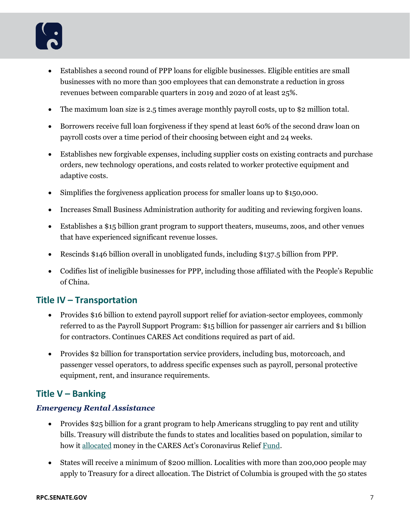- Establishes a second round of PPP loans for eligible businesses. Eligible entities are small businesses with no more than 300 employees that can demonstrate a reduction in gross revenues between comparable quarters in 2019 and 2020 of at least 25%.
- The maximum loan size is 2.5 times average monthly payroll costs, up to \$2 million total.
- Borrowers receive full loan forgiveness if they spend at least 60% of the second draw loan on payroll costs over a time period of their choosing between eight and 24 weeks.
- Establishes new forgivable expenses, including supplier costs on existing contracts and purchase orders, new technology operations, and costs related to worker protective equipment and adaptive costs.
- Simplifies the forgiveness application process for smaller loans up to \$150,000.
- Increases Small Business Administration authority for auditing and reviewing forgiven loans.
- Establishes a \$15 billion grant program to support theaters, museums, zoos, and other venues that have experienced significant revenue losses.
- Rescinds \$146 billion overall in unobligated funds, including \$137.5 billion from PPP.
- Codifies list of ineligible businesses for PPP, including those affiliated with the People's Republic of China.

#### **Title IV – Transportation**

- Provides \$16 billion to extend payroll support relief for aviation-sector employees, commonly referred to as the Payroll Support Program: \$15 billion for passenger air carriers and \$1 billion for contractors. Continues CARES Act conditions required as part of aid.
- Provides \$2 billion for transportation service providers, including bus, motorcoach, and passenger vessel operators, to address specific expenses such as payroll, personal protective equipment, rent, and insurance requirements.

## **Title V – Banking**

#### *Emergency Rental Assistance*

- Provides \$25 billion for a grant program to help Americans struggling to pay rent and utility bills. Treasury will distribute the funds to states and localities based on population, similar to how it [allocated](https://uscode.house.gov/view.xhtml?req=granuleid:USC-prelim-title42-section801&num=0&edition=prelim) money in the CARES Act's Coronavirus Relief [Fund.](https://www.rpc.senate.gov/policy-papers/coronavirus-relief-for-state-local-and-tribal-governments)
- States will receive a minimum of \$200 million. Localities with more than 200,000 people may apply to Treasury for a direct allocation. The District of Columbia is grouped with the 50 states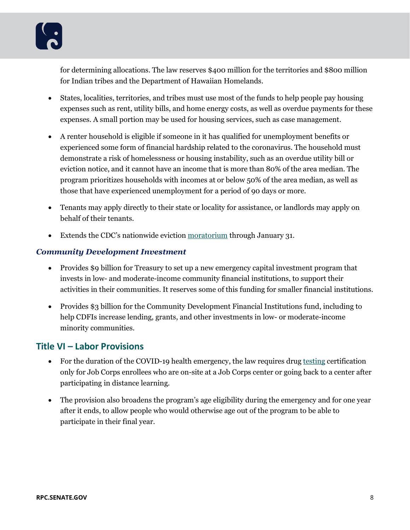for determining allocations. The law reserves \$400 million for the territories and \$800 million for Indian tribes and the Department of Hawaiian Homelands.

- States, localities, territories, and tribes must use most of the funds to help people pay housing expenses such as rent, utility bills, and home energy costs, as well as overdue payments for these expenses. A small portion may be used for housing services, such as case management.
- A renter household is eligible if someone in it has qualified for unemployment benefits or experienced some form of financial hardship related to the coronavirus. The household must demonstrate a risk of homelessness or housing instability, such as an overdue utility bill or eviction notice, and it cannot have an income that is more than 80% of the area median. The program prioritizes households with incomes at or below 50% of the area median, as well as those that have experienced unemployment for a period of 90 days or more.
- Tenants may apply directly to their state or locality for assistance, or landlords may apply on behalf of their tenants.
- Extends the CDC's nationwide eviction [moratorium](https://www.federalregister.gov/documents/2020/09/04/2020-19654/temporary-halt-in-residential-evictions-to-prevent-the-further-spread-of-covid-19) through January 31.

#### *Community Development Investment*

- Provides \$9 billion for Treasury to set up a new emergency capital investment program that invests in low- and moderate-income community financial institutions, to support their activities in their communities. It reserves some of this funding for smaller financial institutions.
- Provides \$3 billion for the Community Development Financial Institutions fund, including to help CDFIs increase lending, grants, and other investments in low- or moderate-income minority communities.

# **Title VI – Labor Provisions**

- For the duration of the COVID-19 health emergency, the law requires drug [testing](https://uscode.house.gov/view.xhtml?req=granuleid:USC-prelim-title29-section3195&num=0&edition=prelim) certification only for Job Corps enrollees who are on-site at a Job Corps center or going back to a center after participating in distance learning.
- The provision also broadens the program's age eligibility during the emergency and for one year after it ends, to allow people who would otherwise age out of the program to be able to participate in their final year.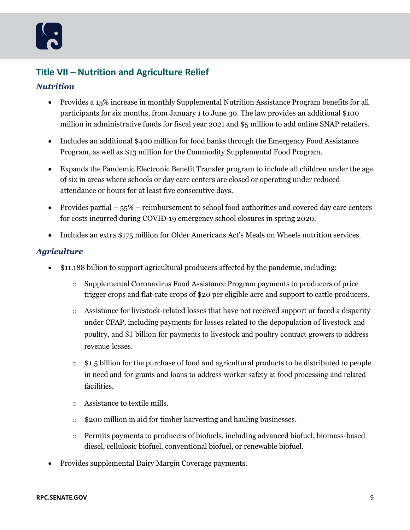# **Title VII – Nutrition and Agriculture Relief**

#### *Nutrition*

- Provides a 15% increase in monthly Supplemental Nutrition Assistance Program benefits for all participants for six months, from January 1 to June 30. The law provides an additional \$100 million in administrative funds for fiscal year 2021 and \$5 million to add online SNAP retailers.
- Includes an additional \$400 million for food banks through the Emergency Food Assistance Program, as well as \$13 million for the Commodity Supplemental Food Program.
- Expands the Pandemic Electronic Benefit Transfer program to include all children under the age of six in areas where schools or day care centers are closed or operating under reduced attendance or hours for at least five consecutive days.
- Provides partial − 55% − reimbursement to school food authorities and covered day care centers for costs incurred during COVID-19 emergency school closures in spring 2020.
- Includes an extra \$175 million for Older Americans Act's Meals on Wheels nutrition services.

#### *Agriculture*

- \$11.188 billion to support agricultural producers affected by the pandemic, including:
	- o Supplemental Coronavirus Food Assistance Program payments to producers of price trigger crops and flat-rate crops of \$20 per eligible acre and support to cattle producers.
	- $\circ$  Assistance for livestock-related losses that have not received support or faced a disparity under CFAP, including payments for losses related to the depopulation of livestock and poultry, and \$1 billion for payments to livestock and poultry contract growers to address revenue losses.
	- $\circ$  \$1.5 billion for the purchase of food and agricultural products to be distributed to people in need and for grants and loans to address worker safety at food processing and related facilities.
	- o Assistance to textile mills.
	- o \$200 million in aid for timber harvesting and hauling businesses.
	- o Permits payments to producers of biofuels, including advanced biofuel, biomass-based diesel, cellulosic biofuel, conventional biofuel, or renewable biofuel.
- Provides supplemental Dairy Margin Coverage payments.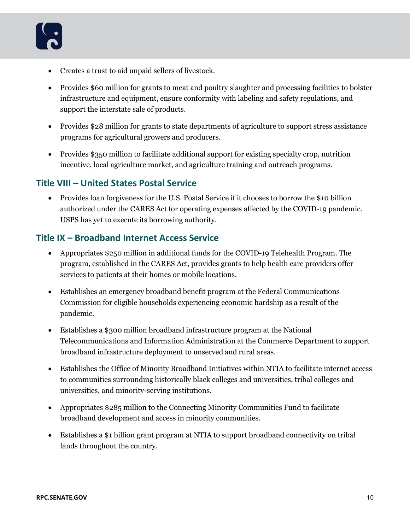

- Creates a trust to aid unpaid sellers of livestock.
- Provides \$60 million for grants to meat and poultry slaughter and processing facilities to bolster infrastructure and equipment, ensure conformity with labeling and safety regulations, and support the interstate sale of products.
- Provides \$28 million for grants to state departments of agriculture to support stress assistance programs for agricultural growers and producers.
- Provides \$350 million to facilitate additional support for existing specialty crop, nutrition incentive, local agriculture market, and agriculture training and outreach programs.

#### **Title VIII – United States Postal Service**

• Provides loan forgiveness for the U.S. Postal Service if it chooses to borrow the \$10 billion authorized under the CARES Act for operating expenses affected by the COVID-19 pandemic. USPS has yet to execute its borrowing authority.

#### **Title IX – Broadband Internet Access Service**

- Appropriates \$250 million in additional funds for the COVID-19 Telehealth Program. The program, established in the CARES Act, provides grants to help health care providers offer services to patients at their homes or mobile locations.
- Establishes an emergency broadband benefit program at the Federal Communications Commission for eligible households experiencing economic hardship as a result of the pandemic.
- Establishes a \$300 million broadband infrastructure program at the National Telecommunications and Information Administration at the Commerce Department to support broadband infrastructure deployment to unserved and rural areas.
- Establishes the Office of Minority Broadband Initiatives within NTIA to facilitate internet access to communities surrounding historically black colleges and universities, tribal colleges and universities, and minority-serving institutions.
- Appropriates \$285 million to the Connecting Minority Communities Fund to facilitate broadband development and access in minority communities.
- Establishes a \$1 billion grant program at NTIA to support broadband connectivity on tribal lands throughout the country.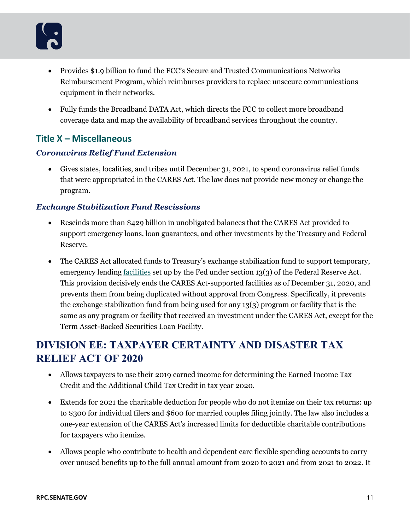- Provides \$1.9 billion to fund the FCC's Secure and Trusted Communications Networks Reimbursement Program, which reimburses providers to replace unsecure communications equipment in their networks.
- Fully funds the Broadband DATA Act, which directs the FCC to collect more broadband coverage data and map the availability of broadband services throughout the country.

# **Title X – Miscellaneous**

#### *Coronavirus Relief Fund Extension*

• Gives states, localities, and tribes until December 31, 2021, to spend coronavirus relief funds that were appropriated in the CARES Act. The law does not provide new money or change the program.

#### *Exchange Stabilization Fund Rescissions*

- Rescinds more than \$429 billion in unobligated balances that the CARES Act provided to support emergency loans, loan guarantees, and other investments by the Treasury and Federal Reserve.
- The CARES Act allocated funds to Treasury's exchange stabilization fund to support temporary, emergency lending [facilities](https://www.crs.gov/Reports/R46329) set up by the Fed under section 13(3) of the Federal Reserve Act. This provision decisively ends the CARES Act-supported facilities as of December 31, 2020, and prevents them from being duplicated without approval from Congress. Specifically, it prevents the exchange stabilization fund from being used for any 13(3) program or facility that is the same as any program or facility that received an investment under the CARES Act, except for the Term Asset-Backed Securities Loan Facility.

# **DIVISION EE: TAXPAYER CERTAINTY AND DISASTER TAX RELIEF ACT OF 2020**

- Allows taxpayers to use their 2019 earned income for determining the Earned Income Tax Credit and the Additional Child Tax Credit in tax year 2020.
- Extends for 2021 the charitable deduction for people who do not itemize on their tax returns: up to \$300 for individual filers and \$600 for married couples filing jointly. The law also includes a one-year extension of the CARES Act's increased limits for deductible charitable contributions for taxpayers who itemize.
- Allows people who contribute to health and dependent care flexible spending accounts to carry over unused benefits up to the full annual amount from 2020 to 2021 and from 2021 to 2022. It